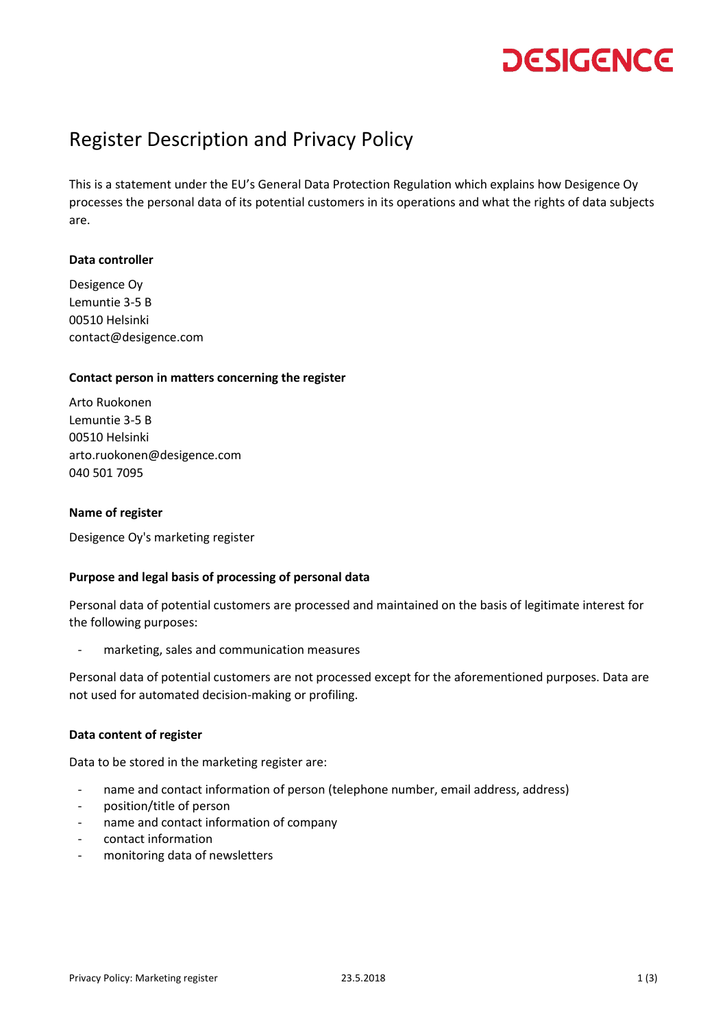# **DESIGENCE**

### Register Description and Privacy Policy

This is a statement under the EU's General Data Protection Regulation which explains how Desigence Oy processes the personal data of its potential customers in its operations and what the rights of data subjects are.

#### **Data controller**

Desigence Oy Lemuntie 3-5 B 00510 Helsinki contact@desigence.com

#### **Contact person in matters concerning the register**

Arto Ruokonen Lemuntie 3-5 B 00510 Helsinki arto.ruokonen@desigence.com 040 501 7095

#### **Name of register**

Desigence Oy's marketing register

#### **Purpose and legal basis of processing of personal data**

Personal data of potential customers are processed and maintained on the basis of legitimate interest for the following purposes:

marketing, sales and communication measures

Personal data of potential customers are not processed except for the aforementioned purposes. Data are not used for automated decision-making or profiling.

#### **Data content of register**

Data to be stored in the marketing register are:

- name and contact information of person (telephone number, email address, address)
- position/title of person
- name and contact information of company
- contact information
- monitoring data of newsletters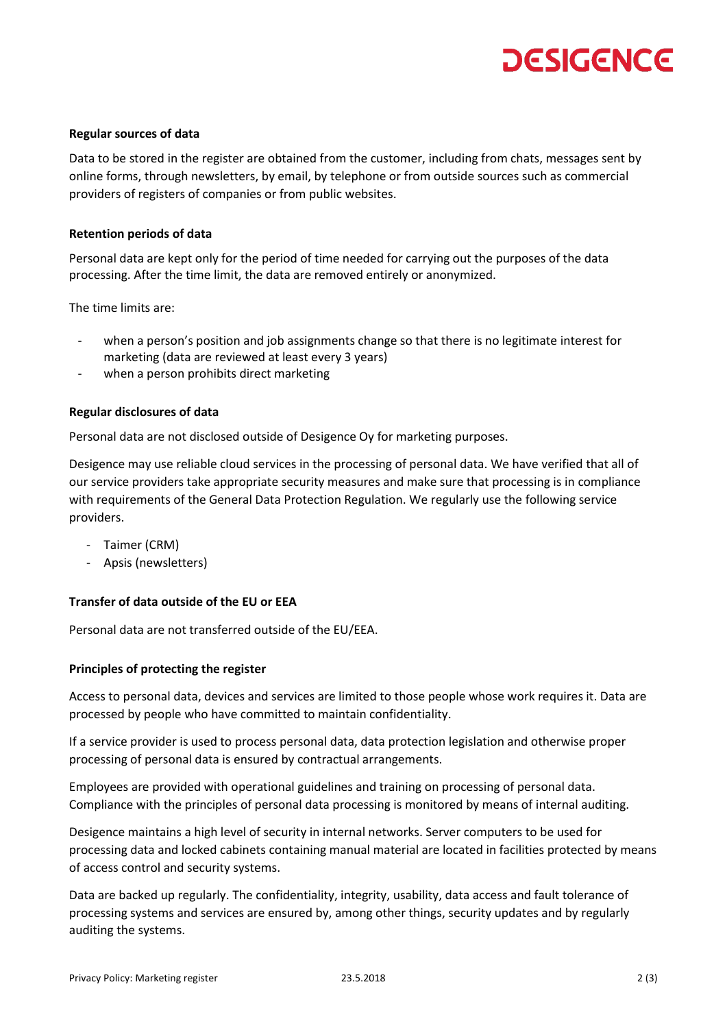# **DESIGENCE**

#### **Regular sources of data**

Data to be stored in the register are obtained from the customer, including from chats, messages sent by online forms, through newsletters, by email, by telephone or from outside sources such as commercial providers of registers of companies or from public websites.

#### **Retention periods of data**

Personal data are kept only for the period of time needed for carrying out the purposes of the data processing. After the time limit, the data are removed entirely or anonymized.

The time limits are:

- when a person's position and job assignments change so that there is no legitimate interest for marketing (data are reviewed at least every 3 years)
- when a person prohibits direct marketing

#### **Regular disclosures of data**

Personal data are not disclosed outside of Desigence Oy for marketing purposes.

Desigence may use reliable cloud services in the processing of personal data. We have verified that all of our service providers take appropriate security measures and make sure that processing is in compliance with requirements of the General Data Protection Regulation. We regularly use the following service providers.

- Taimer (CRM)
- Apsis (newsletters)

#### **Transfer of data outside of the EU or EEA**

Personal data are not transferred outside of the EU/EEA.

#### **Principles of protecting the register**

Access to personal data, devices and services are limited to those people whose work requires it. Data are processed by people who have committed to maintain confidentiality.

If a service provider is used to process personal data, data protection legislation and otherwise proper processing of personal data is ensured by contractual arrangements.

Employees are provided with operational guidelines and training on processing of personal data. Compliance with the principles of personal data processing is monitored by means of internal auditing.

Desigence maintains a high level of security in internal networks. Server computers to be used for processing data and locked cabinets containing manual material are located in facilities protected by means of access control and security systems.

Data are backed up regularly. The confidentiality, integrity, usability, data access and fault tolerance of processing systems and services are ensured by, among other things, security updates and by regularly auditing the systems.